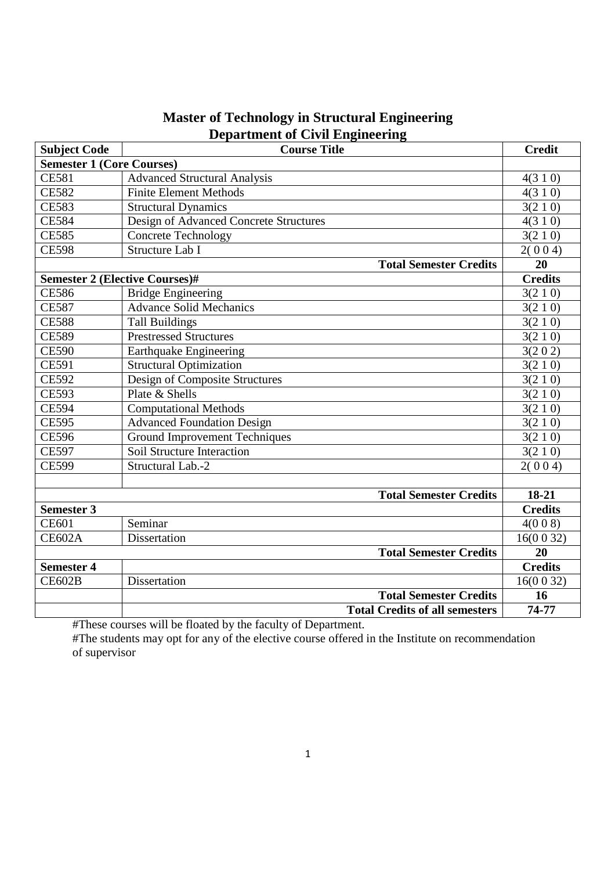| <b>Subject Code</b>                   | $\frac{1}{2}$<br><b>Course Title</b>   | <b>Credit</b>  |
|---------------------------------------|----------------------------------------|----------------|
| <b>Semester 1 (Core Courses)</b>      |                                        |                |
| <b>CE581</b>                          | <b>Advanced Structural Analysis</b>    | 4(310)         |
| <b>CE582</b>                          | <b>Finite Element Methods</b>          | 4(310)         |
| <b>CE583</b>                          | <b>Structural Dynamics</b>             | 3(210)         |
| <b>CE584</b>                          | Design of Advanced Concrete Structures | 4(310)         |
| <b>CE585</b>                          | <b>Concrete Technology</b>             | 3(210)         |
| <b>CE598</b>                          | Structure Lab I                        | 2(004)         |
|                                       | <b>Total Semester Credits</b>          | 20             |
| <b>Semester 2 (Elective Courses)#</b> |                                        | <b>Credits</b> |
| <b>CE586</b>                          | <b>Bridge Engineering</b>              | 3(210)         |
| <b>CE587</b>                          | <b>Advance Solid Mechanics</b>         | 3(210)         |
| <b>CE588</b>                          | <b>Tall Buildings</b>                  | 3(210)         |
| <b>CE589</b>                          | <b>Prestressed Structures</b>          | 3(210)         |
| <b>CE590</b>                          | Earthquake Engineering                 | 3(202)         |
| <b>CE591</b>                          | <b>Structural Optimization</b>         | 3(210)         |
| <b>CE592</b>                          | Design of Composite Structures         | 3(210)         |
| <b>CE593</b>                          | Plate & Shells                         | 3(210)         |
| <b>CE594</b>                          | <b>Computational Methods</b>           | 3(210)         |
| <b>CE595</b>                          | <b>Advanced Foundation Design</b>      | 3(210)         |
| <b>CE596</b>                          | <b>Ground Improvement Techniques</b>   | 3(210)         |
| <b>CE597</b>                          | Soil Structure Interaction             | 3(210)         |
| <b>CE599</b>                          | Structural Lab.-2                      | 2(004)         |
|                                       |                                        |                |
|                                       | <b>Total Semester Credits</b>          | $18-21$        |
| <b>Semester 3</b>                     |                                        | <b>Credits</b> |
| <b>CE601</b>                          | Seminar                                | 4(008)         |
| <b>CE602A</b>                         | Dissertation                           | 16(0032)       |
|                                       | <b>Total Semester Credits</b>          | 20             |
| <b>Semester 4</b>                     |                                        | <b>Credits</b> |
| <b>CE602B</b>                         | Dissertation                           | 16(0032)       |
|                                       | <b>Total Semester Credits</b>          | 16             |
|                                       | <b>Total Credits of all semesters</b>  | 74-77          |

# **Master of Technology in Structural Engineering Department of Civil Engineering**

#These courses will be floated by the faculty of Department.

#The students may opt for any of the elective course offered in the Institute on recommendation of supervisor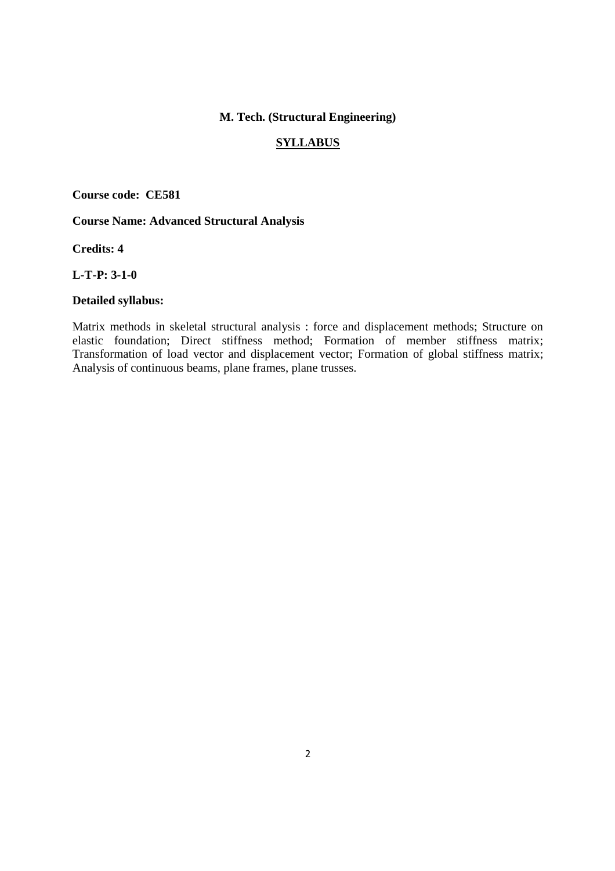## **M. Tech. (Structural Engineering)**

#### **SYLLABUS**

**Course code: CE581**

## **Course Name: Advanced Structural Analysis**

**Credits: 4** 

**L-T-P: 3-1-0** 

#### **Detailed syllabus:**

Matrix methods in skeletal structural analysis : force and displacement methods; Structure on elastic foundation; Direct stiffness method; Formation of member stiffness matrix; Transformation of load vector and displacement vector; Formation of global stiffness matrix; Analysis of continuous beams, plane frames, plane trusses.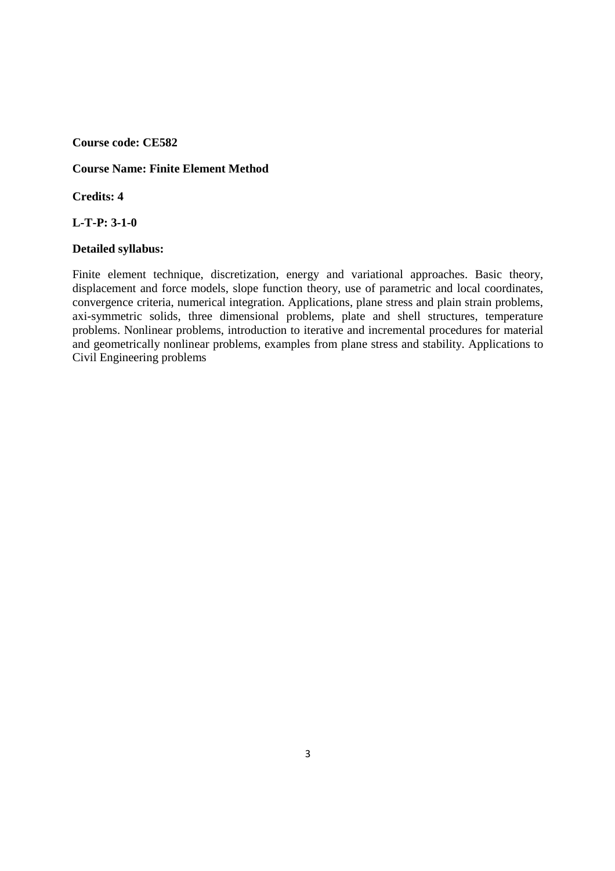## **Course Name: Finite Element Method**

**Credits: 4** 

#### **L-T-P: 3-1-0**

#### **Detailed syllabus:**

Finite element technique, discretization, energy and variational approaches. Basic theory, displacement and force models, slope function theory, use of parametric and local coordinates, convergence criteria, numerical integration. Applications, plane stress and plain strain problems, axi-symmetric solids, three dimensional problems, plate and shell structures, temperature problems. Nonlinear problems, introduction to iterative and incremental procedures for material and geometrically nonlinear problems, examples from plane stress and stability. Applications to Civil Engineering problems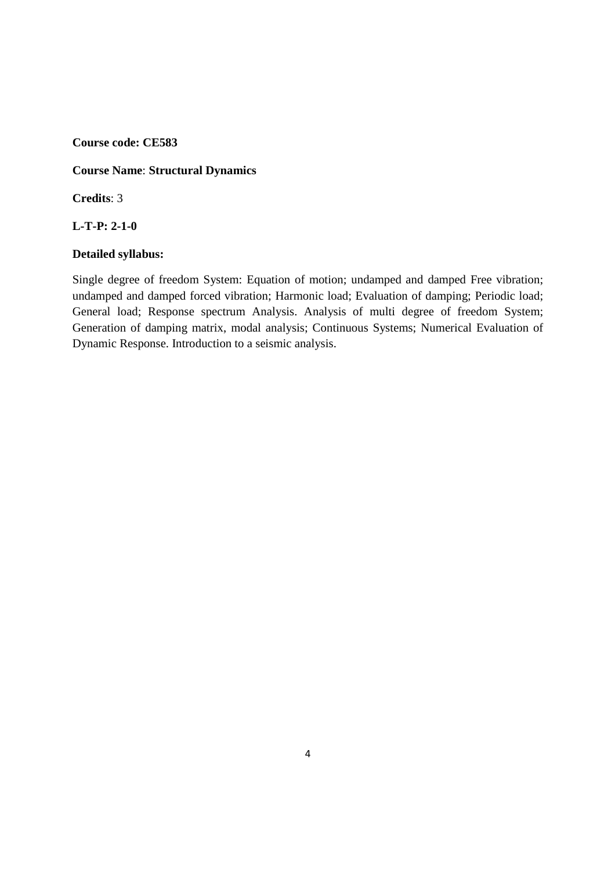## **Course Name**: **Structural Dynamics**

**Credits**: 3

### **L-T-P: 2-1-0**

### **Detailed syllabus:**

Single degree of freedom System: Equation of motion; undamped and damped Free vibration; undamped and damped forced vibration; Harmonic load; Evaluation of damping; Periodic load; General load; Response spectrum Analysis. Analysis of multi degree of freedom System; Generation of damping matrix, modal analysis; Continuous Systems; Numerical Evaluation of Dynamic Response. Introduction to a seismic analysis.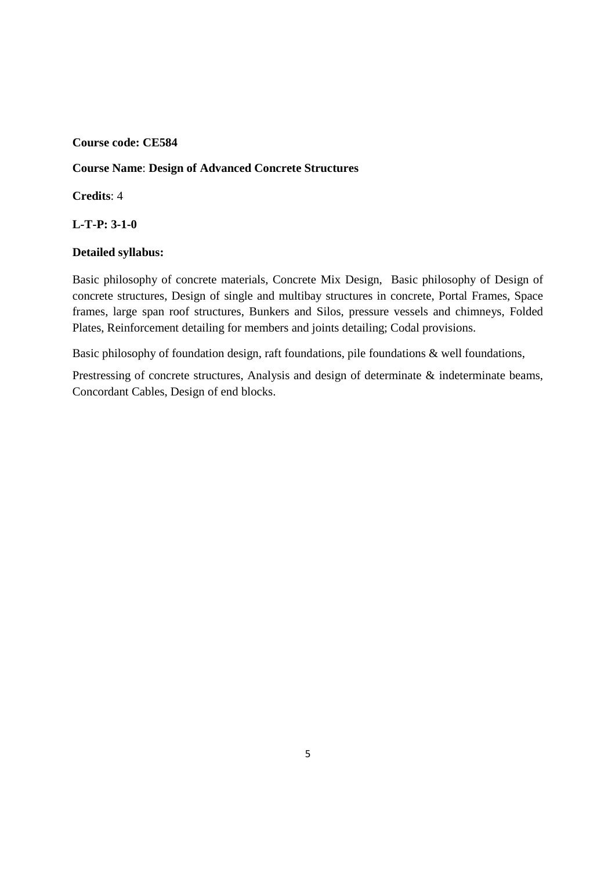#### **Course Name**: **Design of Advanced Concrete Structures**

**Credits**: 4

**L-T-P: 3-1-0** 

#### **Detailed syllabus:**

Basic philosophy of concrete materials, Concrete Mix Design, Basic philosophy of Design of concrete structures, Design of single and multibay structures in concrete, Portal Frames, Space frames, large span roof structures, Bunkers and Silos, pressure vessels and chimneys, Folded Plates, Reinforcement detailing for members and joints detailing; Codal provisions.

Basic philosophy of foundation design, raft foundations, pile foundations & well foundations,

Prestressing of concrete structures, Analysis and design of determinate & indeterminate beams, Concordant Cables, Design of end blocks.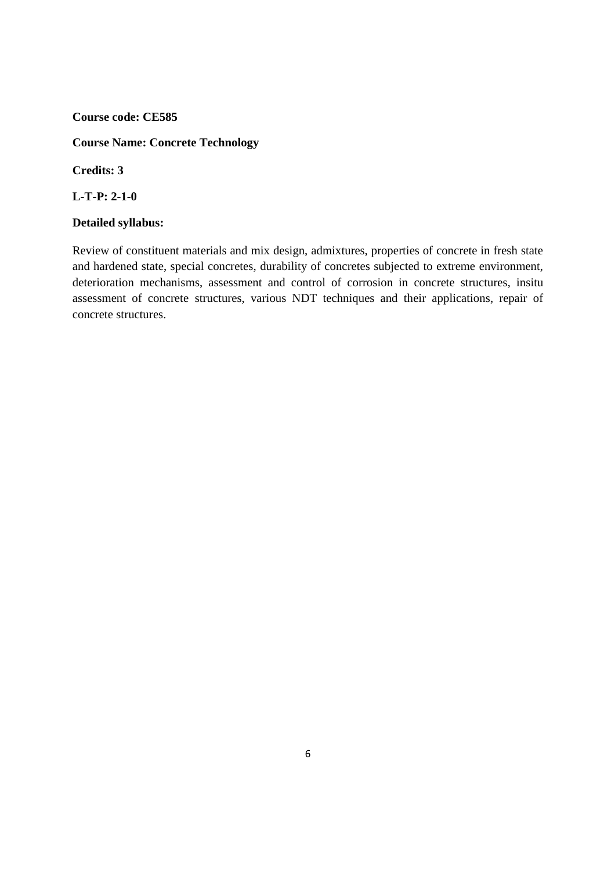### **Course Name: Concrete Technology**

**Credits: 3** 

**L-T-P: 2-1-0** 

## **Detailed syllabus:**

Review of constituent materials and mix design, admixtures, properties of concrete in fresh state and hardened state, special concretes, durability of concretes subjected to extreme environment, deterioration mechanisms, assessment and control of corrosion in concrete structures, insitu assessment of concrete structures, various NDT techniques and their applications, repair of concrete structures.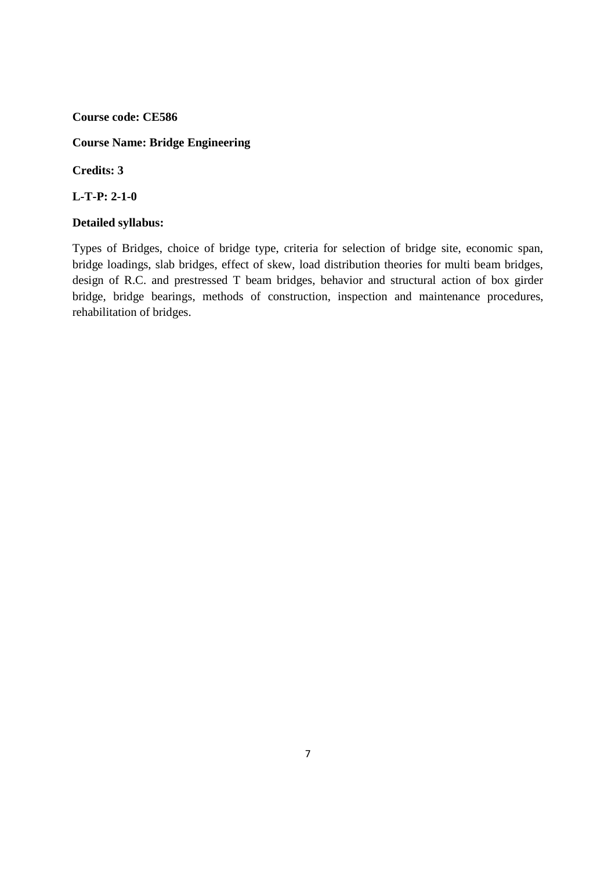## **Course Name: Bridge Engineering**

**Credits: 3** 

**L-T-P: 2-1-0** 

## **Detailed syllabus:**

Types of Bridges, choice of bridge type, criteria for selection of bridge site, economic span, bridge loadings, slab bridges, effect of skew, load distribution theories for multi beam bridges, design of R.C. and prestressed T beam bridges, behavior and structural action of box girder bridge, bridge bearings, methods of construction, inspection and maintenance procedures, rehabilitation of bridges.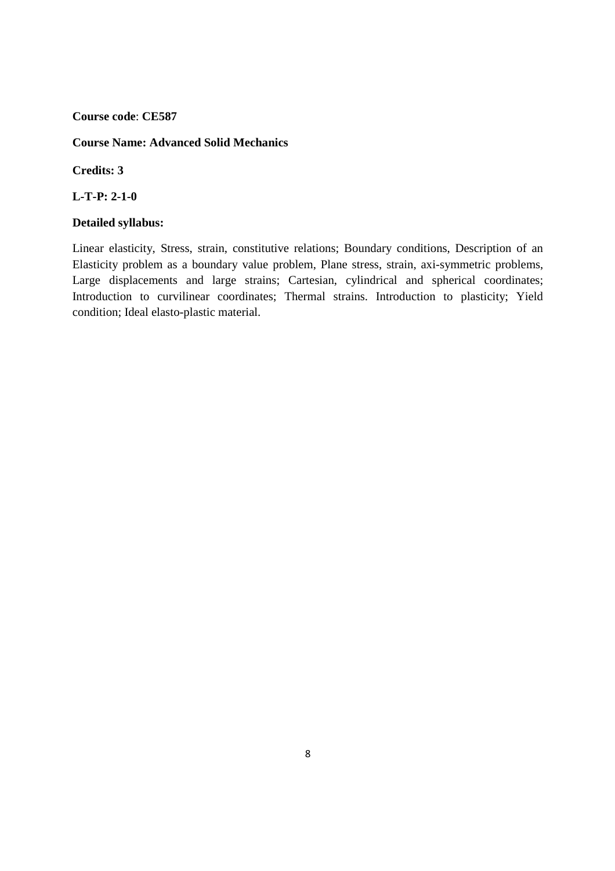## **Course Name: Advanced Solid Mechanics**

**Credits: 3** 

**L-T-P: 2-1-0** 

## **Detailed syllabus:**

Linear elasticity, Stress, strain, constitutive relations; Boundary conditions, Description of an Elasticity problem as a boundary value problem, Plane stress, strain, axi-symmetric problems, Large displacements and large strains; Cartesian, cylindrical and spherical coordinates; Introduction to curvilinear coordinates; Thermal strains. Introduction to plasticity; Yield condition; Ideal elasto-plastic material.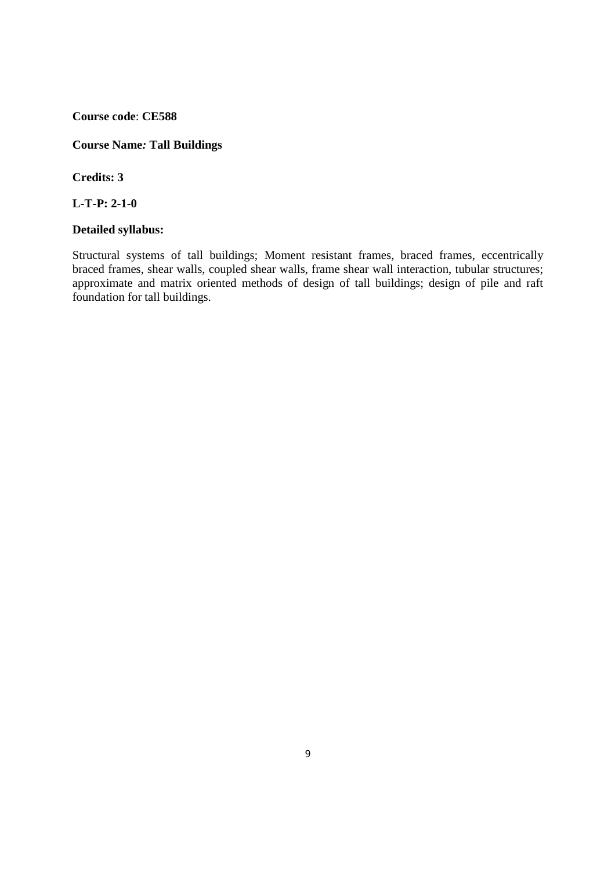**Course Name***:* **Tall Buildings** 

**Credits: 3** 

**L-T-P: 2-1-0** 

#### **Detailed syllabus:**

Structural systems of tall buildings; Moment resistant frames, braced frames, eccentrically braced frames, shear walls, coupled shear walls, frame shear wall interaction, tubular structures; approximate and matrix oriented methods of design of tall buildings; design of pile and raft foundation for tall buildings.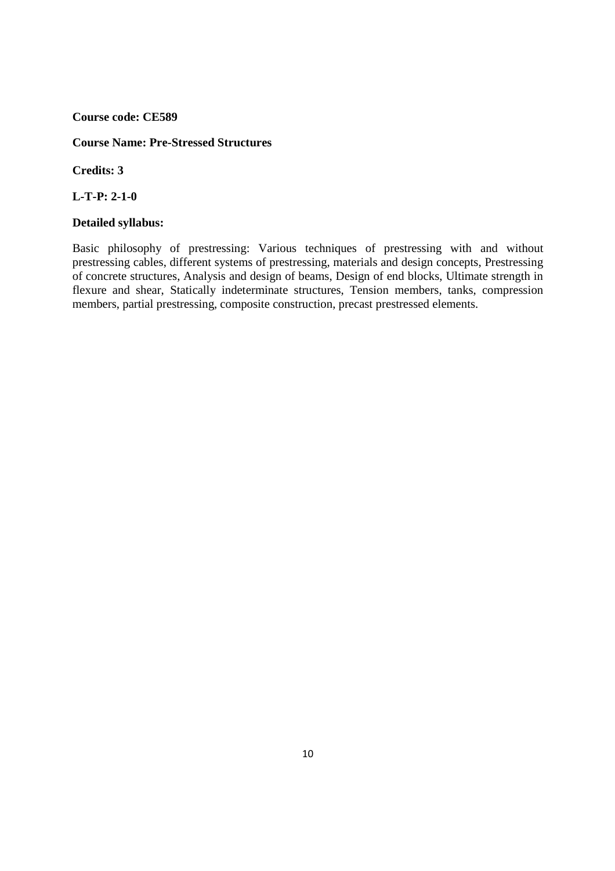#### **Course Name: Pre-Stressed Structures**

**Credits: 3** 

**L-T-P: 2-1-0** 

## **Detailed syllabus:**

Basic philosophy of prestressing: Various techniques of prestressing with and without prestressing cables, different systems of prestressing, materials and design concepts, Prestressing of concrete structures, Analysis and design of beams, Design of end blocks, Ultimate strength in flexure and shear, Statically indeterminate structures, Tension members, tanks, compression members, partial prestressing, composite construction, precast prestressed elements.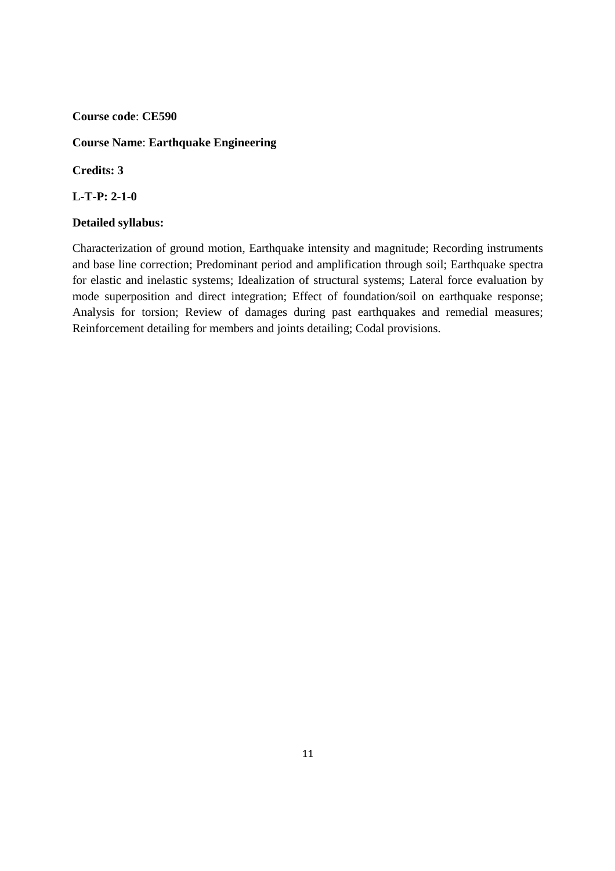## **Course Name**: **Earthquake Engineering**

**Credits: 3** 

**L-T-P: 2-1-0** 

### **Detailed syllabus:**

Characterization of ground motion, Earthquake intensity and magnitude; Recording instruments and base line correction; Predominant period and amplification through soil; Earthquake spectra for elastic and inelastic systems; Idealization of structural systems; Lateral force evaluation by mode superposition and direct integration; Effect of foundation/soil on earthquake response; Analysis for torsion; Review of damages during past earthquakes and remedial measures; Reinforcement detailing for members and joints detailing; Codal provisions.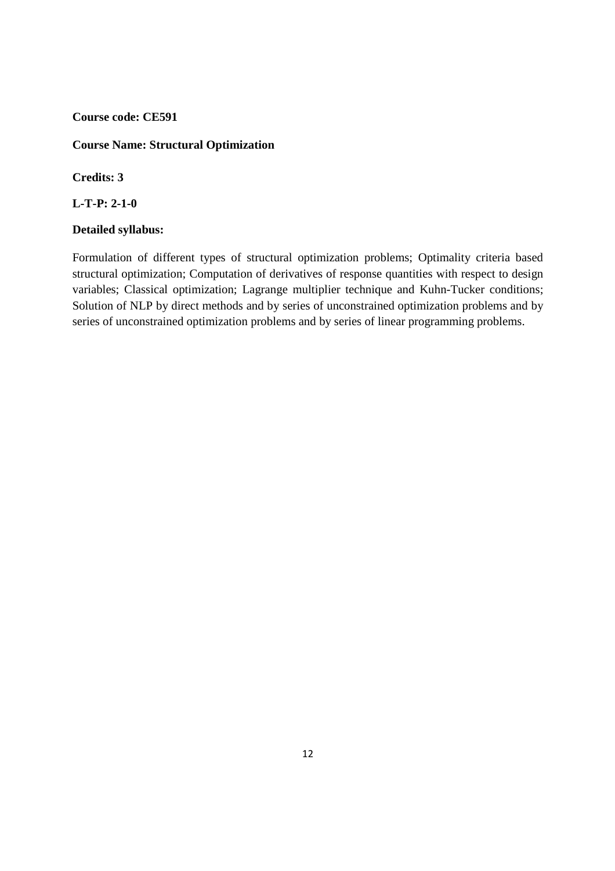### **Course Name: Structural Optimization**

**Credits: 3** 

**L-T-P: 2-1-0** 

#### **Detailed syllabus:**

Formulation of different types of structural optimization problems; Optimality criteria based structural optimization; Computation of derivatives of response quantities with respect to design variables; Classical optimization; Lagrange multiplier technique and Kuhn-Tucker conditions; Solution of NLP by direct methods and by series of unconstrained optimization problems and by series of unconstrained optimization problems and by series of linear programming problems.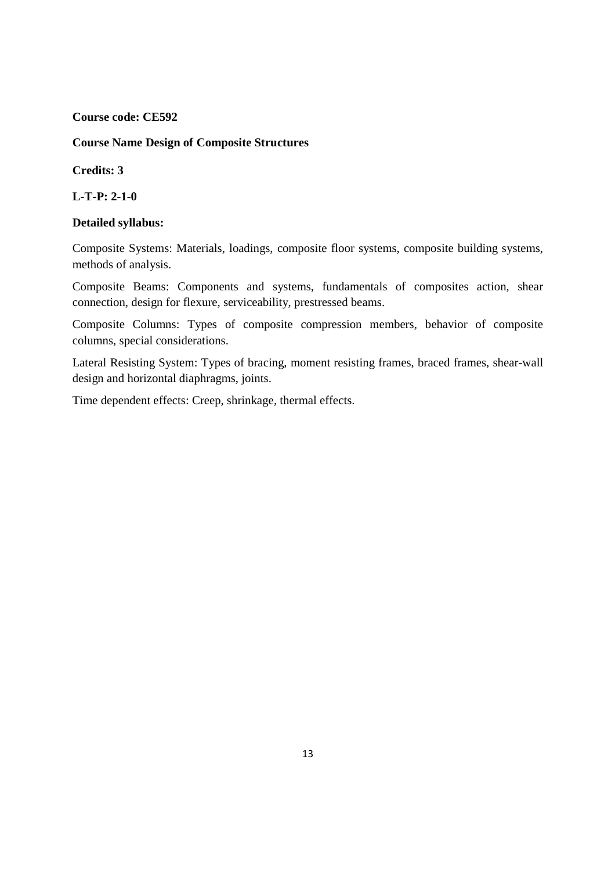**Course Name Design of Composite Structures** 

**Credits: 3** 

**L-T-P: 2-1-0** 

## **Detailed syllabus:**

Composite Systems: Materials, loadings, composite floor systems, composite building systems, methods of analysis.

Composite Beams: Components and systems, fundamentals of composites action, shear connection, design for flexure, serviceability, prestressed beams.

Composite Columns: Types of composite compression members, behavior of composite columns, special considerations.

Lateral Resisting System: Types of bracing, moment resisting frames, braced frames, shear-wall design and horizontal diaphragms, joints.

Time dependent effects: Creep, shrinkage, thermal effects.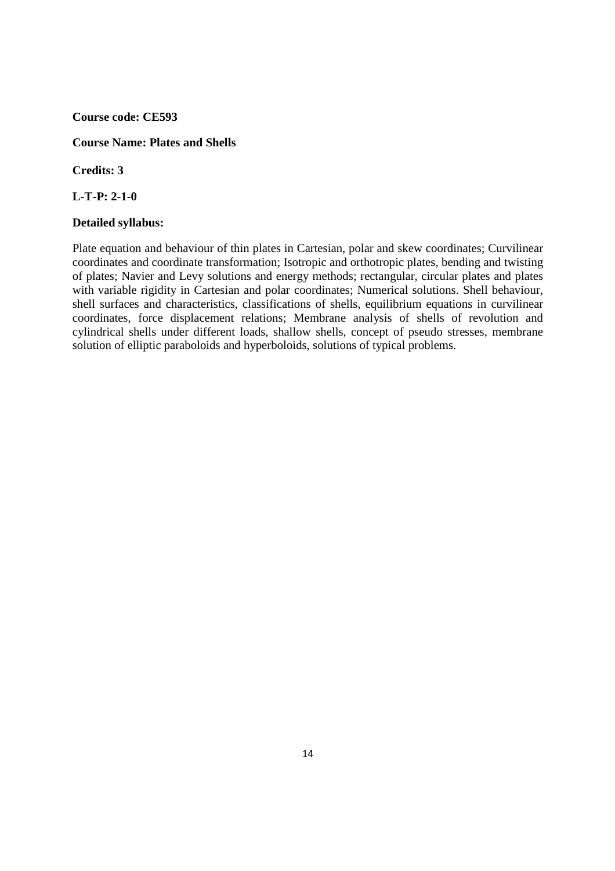### **Course Name: Plates and Shells**

**Credits: 3** 

**L-T-P: 2-1-0** 

#### **Detailed syllabus:**

Plate equation and behaviour of thin plates in Cartesian, polar and skew coordinates; Curvilinear coordinates and coordinate transformation; Isotropic and orthotropic plates, bending and twisting of plates; Navier and Levy solutions and energy methods; rectangular, circular plates and plates with variable rigidity in Cartesian and polar coordinates; Numerical solutions. Shell behaviour, shell surfaces and characteristics, classifications of shells, equilibrium equations in curvilinear coordinates, force displacement relations; Membrane analysis of shells of revolution and cylindrical shells under different loads, shallow shells, concept of pseudo stresses, membrane solution of elliptic paraboloids and hyperboloids, solutions of typical problems.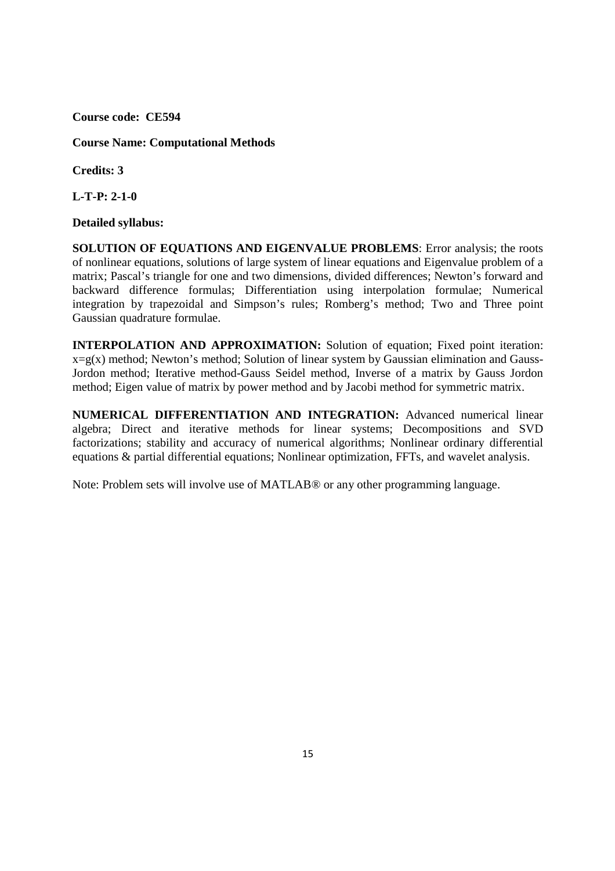**Course Name: Computational Methods** 

**Credits: 3** 

**L-T-P: 2-1-0** 

## **Detailed syllabus:**

**SOLUTION OF EQUATIONS AND EIGENVALUE PROBLEMS**: Error analysis; the roots of nonlinear equations, solutions of large system of linear equations and Eigenvalue problem of a matrix; Pascal's triangle for one and two dimensions, divided differences; Newton's forward and backward difference formulas; Differentiation using interpolation formulae; Numerical integration by trapezoidal and Simpson's rules; Romberg's method; Two and Three point Gaussian quadrature formulae.

**INTERPOLATION AND APPROXIMATION:** Solution of equation; Fixed point iteration:  $x=g(x)$  method; Newton's method; Solution of linear system by Gaussian elimination and Gauss-Jordon method; Iterative method-Gauss Seidel method, Inverse of a matrix by Gauss Jordon method; Eigen value of matrix by power method and by Jacobi method for symmetric matrix.

**NUMERICAL DIFFERENTIATION AND INTEGRATION:** Advanced numerical linear algebra; Direct and iterative methods for linear systems; Decompositions and SVD factorizations; stability and accuracy of numerical algorithms; Nonlinear ordinary differential equations & partial differential equations; Nonlinear optimization, FFTs, and wavelet analysis.

Note: Problem sets will involve use of MATLAB® or any other programming language.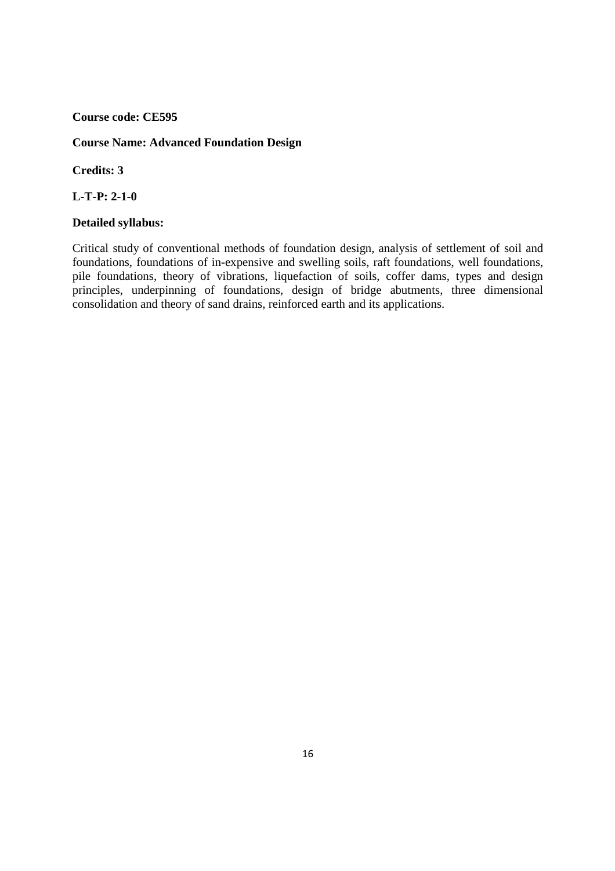## **Course Name: Advanced Foundation Design**

**Credits: 3** 

**L-T-P: 2-1-0** 

## **Detailed syllabus:**

Critical study of conventional methods of foundation design, analysis of settlement of soil and foundations, foundations of in-expensive and swelling soils, raft foundations, well foundations, pile foundations, theory of vibrations, liquefaction of soils, coffer dams, types and design principles, underpinning of foundations, design of bridge abutments, three dimensional consolidation and theory of sand drains, reinforced earth and its applications.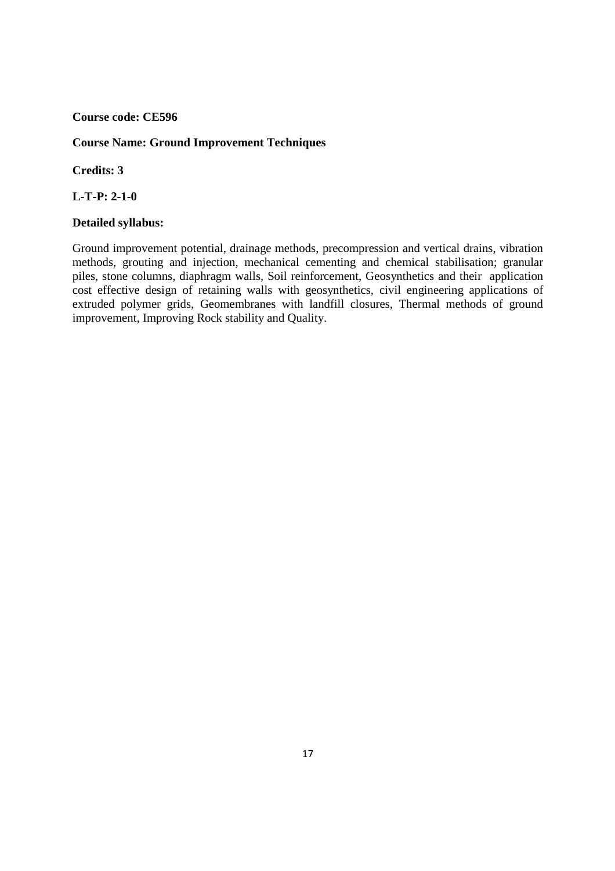## **Course Name: Ground Improvement Techniques**

**Credits: 3** 

**L-T-P: 2-1-0** 

## **Detailed syllabus:**

Ground improvement potential, drainage methods, precompression and vertical drains, vibration methods, grouting and injection, mechanical cementing and chemical stabilisation; granular piles, stone columns, diaphragm walls, Soil reinforcement, Geosynthetics and their application cost effective design of retaining walls with geosynthetics, civil engineering applications of extruded polymer grids, Geomembranes with landfill closures, Thermal methods of ground improvement, Improving Rock stability and Quality.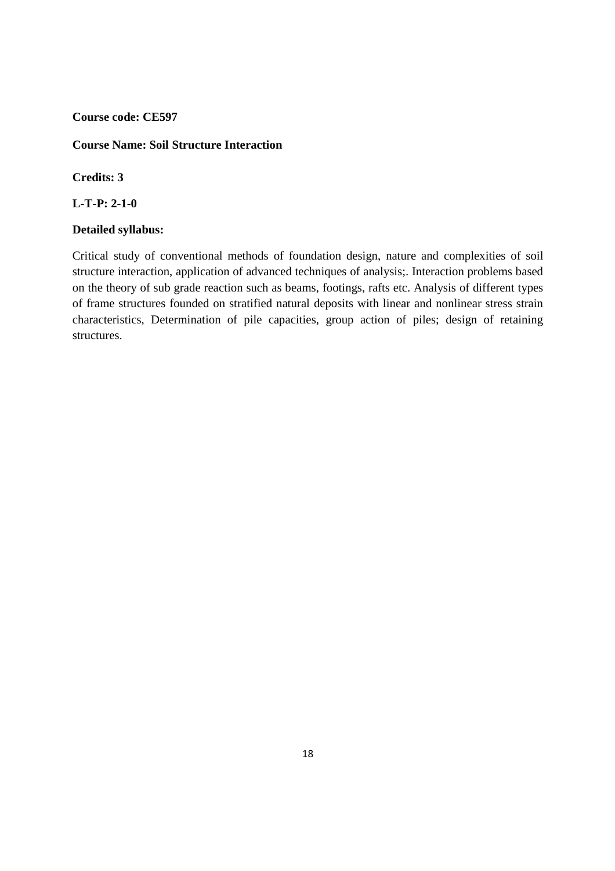## **Course Name: Soil Structure Interaction**

## **Credits: 3**

**L-T-P: 2-1-0** 

#### **Detailed syllabus:**

Critical study of conventional methods of foundation design, nature and complexities of soil structure interaction, application of advanced techniques of analysis;. Interaction problems based on the theory of sub grade reaction such as beams, footings, rafts etc. Analysis of different types of frame structures founded on stratified natural deposits with linear and nonlinear stress strain characteristics, Determination of pile capacities, group action of piles; design of retaining structures.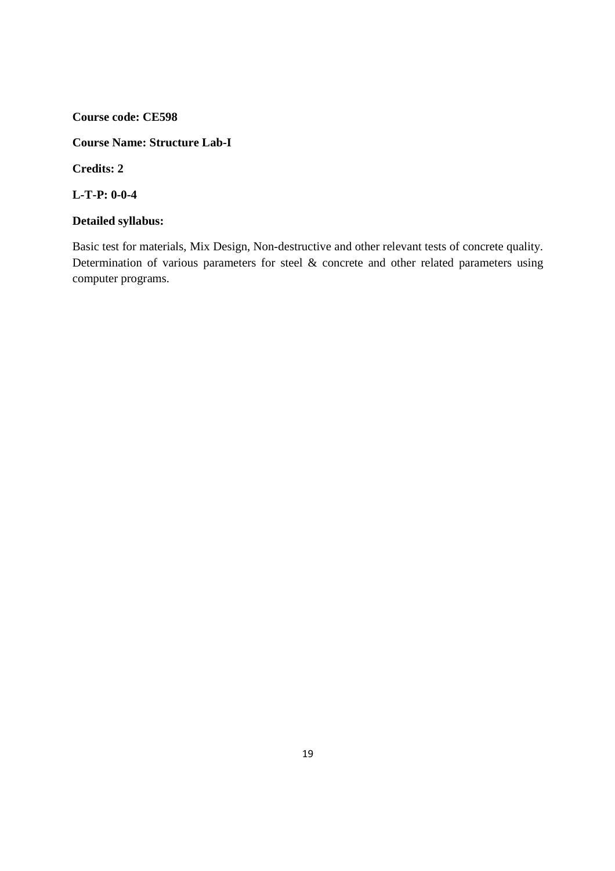## **Course Name: Structure Lab-I**

**Credits: 2** 

**L-T-P: 0-0-4** 

## **Detailed syllabus:**

Basic test for materials, Mix Design, Non-destructive and other relevant tests of concrete quality. Determination of various parameters for steel & concrete and other related parameters using computer programs.